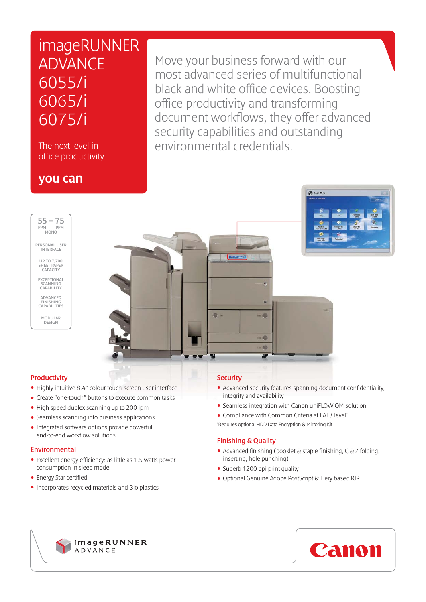# imageRUNNER ADVANCE 6055/i 6065/i 6075/i

The next level in office productivity.

### you can

Move your business forward with our most advanced series of multifunctional black and white office devices. Boosting office productivity and transforming document workflows, they offer advanced security capabilities and outstanding environmental credentials.





#### **Productivity**

- Highly intuitive 8.4" colour touch-screen user interface
- Create "one-touch" buttons to execute common tasks
- High speed duplex scanning up to 200 ipm
- Seamless scanning into business applications
- Integrated software options provide powerful end-to-end workflow solutions

#### Environmental

- Excellent energy efficiency: as little as 1.5 watts power consumption in sleep mode
- Energy Star certified
- Incorporates recycled materials and Bio plastics

#### **Security**

• Advanced security features spanning document confidentiality, integrity and availability

**Gib** Main

- Seamless integration with Canon uniFLOW OM solution
- Compliance with Common Criteria at EAL3 level<sup>\*</sup>
- \* Requires optional HDD Data Encryption & Mirroring Kit

#### Finishing & Quality

- Advanced finishing (booklet & staple finishing, C & Z folding, inserting, hole punching)
- Superb 1200 dpi print quality
- Optional Genuine Adobe PostScript & Fiery based RIP